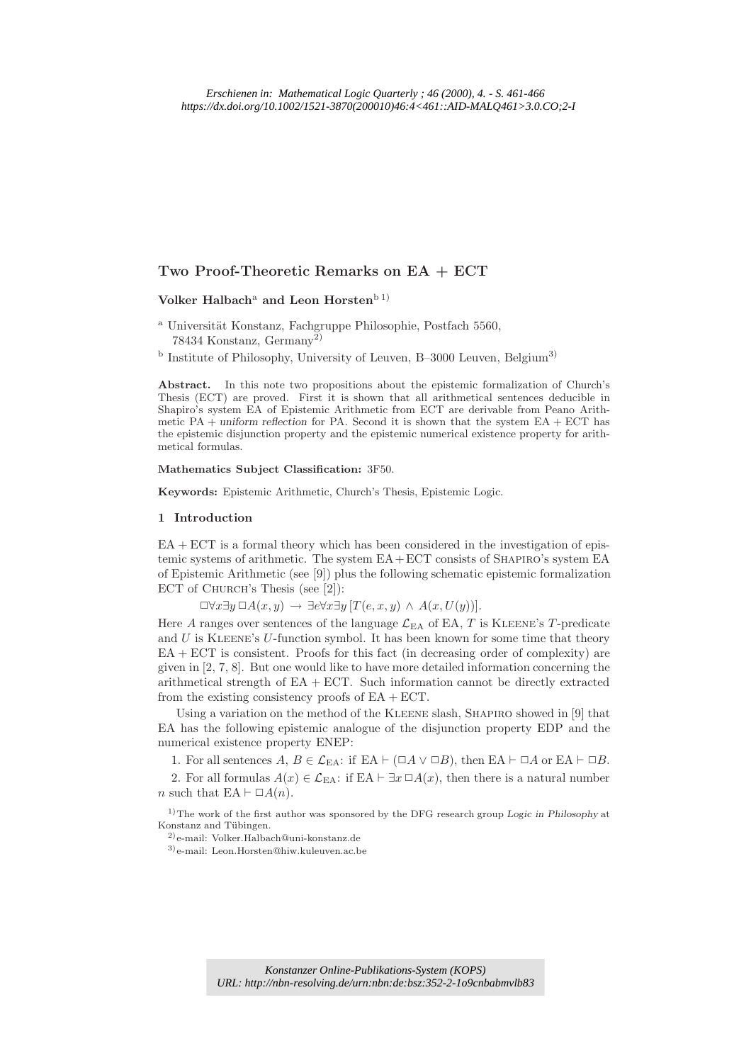## Two Proof-Theoretic Remarks on EA + ECT

# Volker Halbach<sup>a</sup> and Leon Horstenb<sup>1)</sup>

- <sup>a</sup> Universität Konstanz, Fachgruppe Philosophie, Postfach 5560, 78434 Konstanz, Germany2)
- <sup>b</sup> Institute of Philosophy, University of Leuven, B-3000 Leuven, Belgium<sup>3)</sup>

Abstract. In this note two propositions about the epistemic formalization of Church's Thesis (ECT) are proved. First it is shown that all arithmetical sentences deducible in Shapiro's system EA of Epistemic Arithmetic from ECT are derivable from Peano Arithmetic  $PA$  + uniform reflection for PA. Second it is shown that the system  $EA$  + ECT has the epistemic disjunction property and the epistemic numerical existence property for arithmetical formulas.

Mathematics Subject Classification: 3F50.

Keywords: Epistemic Arithmetic, Church's Thesis, Epistemic Logic.

#### 1 Introduction

 $EA + ECT$  is a formal theory which has been considered in the investigation of epistemic systems of arithmetic. The system  $EA + ECT$  consists of SHAPIRO's system  $EA$ of Epistemic Arithmetic (see [9]) plus the following schematic epistemic formalization ECT of CHURCH's Thesis (see [2]):

 $\Box \forall x \exists y \, \Box A(x, y) \rightarrow \exists e \forall x \exists y \, [T(e, x, y) \land A(x, U(y))].$ 

Here A ranges over sentences of the language  $\mathcal{L}_{EA}$  of EA, T is KLEENE's T-predicate and  $U$  is KLEENE's  $U$ -function symbol. It has been known for some time that theory EA + ECT is consistent. Proofs for this fact (in decreasing order of complexity) are given in [2, 7, 8]. But one would like to have more detailed information concerning the arithmetical strength of  $EA + ECT$ . Such information cannot be directly extracted from the existing consistency proofs of  $EA + ECT$ .

Using a variation on the method of the KLEENE slash, SHAPIRO showed in [9] that EA has the following epistemic analogue of the disjunction property EDP and the numerical existence property ENEP:

1. For all sentences  $A, B \in \mathcal{L}_{EA}$ : if  $EA \vdash (\Box A \lor \Box B)$ , then  $EA \vdash \Box A$  or  $EA \vdash \Box B$ .

2. For all formulas  $A(x) \in \mathcal{L}_{EA}$ : if EA  $\vdash \exists x \Box A(x)$ , then there is a natural number n such that EA  $\vdash \Box A(n)$ .

 $1)$ The work of the first author was sponsored by the DFG research group Logic in Philosophy at Konstanz and Tübingen.

2) e-mail: Volker.Halbach@uni-konstanz.de 3) e-mail: Leon.Horsten@hiw.kuleuven.ac.be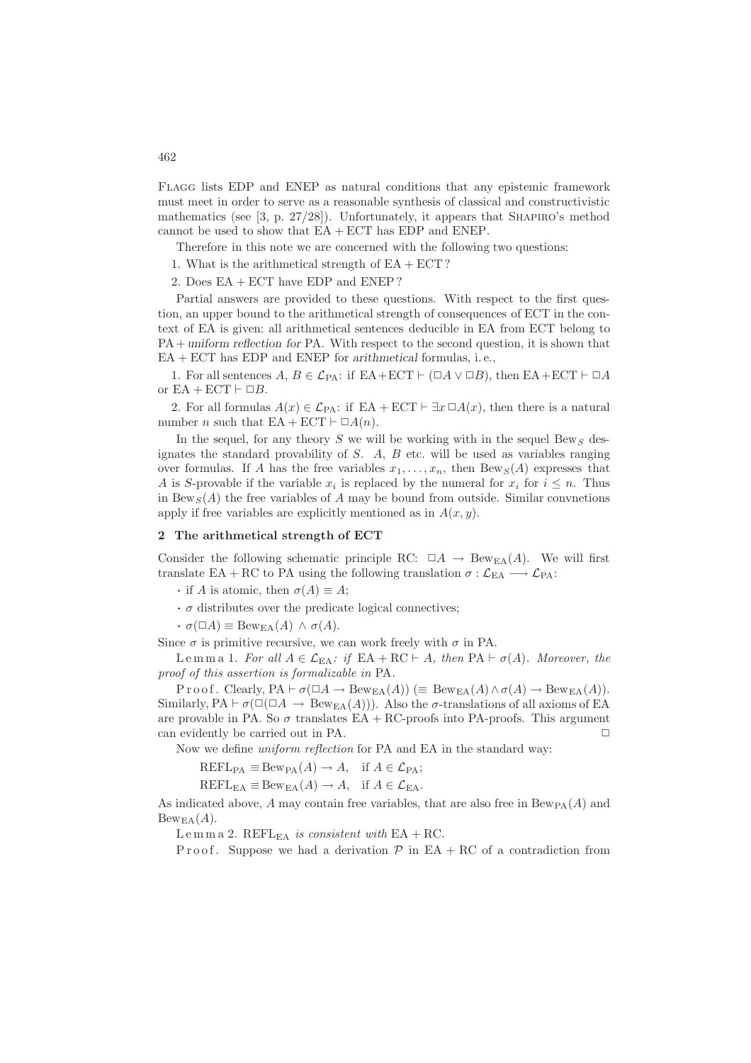Flagg lists EDP and ENEP as natural conditions that any epistemic framework must meet in order to serve as a reasonable synthesis of classical and constructivistic mathematics (see  $[3, p. 27/28]$ ). Unfortunately, it appears that SHAPIRO's method cannot be used to show that  $EA + ECT$  has  $EDP$  and  $ENEP$ .

Therefore in this note we are concerned with the following two questions:

1. What is the arithmetical strength of  $EA + ECT$ ?

2. Does EA + ECT have EDP and ENEP ?

Partial answers are provided to these questions. With respect to the first question, an upper bound to the arithmetical strength of consequences of ECT in the context of EA is given: all arithmetical sentences deducible in EA from ECT belong to PA + uniform reflection for PA. With respect to the second question, it is shown that EA + ECT has EDP and ENEP for arithmetical formulas, i. e.,

1. For all sentences  $A, B \in \mathcal{L}_{\text{PA}}$ : if  $EA + ECT \vdash (\Box A \lor \Box B)$ , then  $EA + ECT \vdash \Box A$ or  $EA + ECT \vdash \Box B$ .

2. For all formulas  $A(x) \in \mathcal{L}_{PA}$ : if EA + ECT  $\vdash \exists x \Box A(x)$ , then there is a natural number *n* such that  $EA + ECT \vdash \Box A(n)$ .

In the sequel, for any theory S we will be working with in the sequel Bews designates the standard provability of  $S$ .  $A$ ,  $B$  etc. will be used as variables ranging over formulas. If A has the free variables  $x_1, \ldots, x_n$ , then Bew<sub>S</sub>(A) expresses that A is S-provable if the variable  $x_i$  is replaced by the numeral for  $x_i$  for  $i \leq n$ . Thus in Bew<sub>S</sub>(A) the free variables of A may be bound from outside. Similar convnetions apply if free variables are explicitly mentioned as in  $A(x, y)$ .

### 2 The arithmetical strength of ECT

Consider the following schematic principle RC:  $\Box A \rightarrow \mathrm{Bew}_{EA}(A)$ . We will first translate EA + RC to PA using the following translation  $\sigma : \mathcal{L}_{EA} \longrightarrow \mathcal{L}_{PA}$ :

- if A is atomic, then  $\sigma(A) \equiv A$ ;
- $\cdot$   $\sigma$  distributes over the predicate logical connectives;

 $\cdot \sigma(\Box A) \equiv \text{Bew}_{\text{EA}}(A) \land \sigma(A).$ 

Since  $\sigma$  is primitive recursive, we can work freely with  $\sigma$  in PA.

Le m m a 1. *For all*  $A \in \mathcal{L}_{EA}$ : *if* EA + RC ⊢ A, then PA ⊢  $\sigma(A)$ *. Moreover, the proof of this assertion is formalizable in* PA*.*

P r o o f . Clearly,  $PA \vdash \sigma(\Box A \rightarrow \mathrm{Bew}_{EA}(A))$  ( $\equiv \mathrm{Bew}_{EA}(A) \wedge \sigma(A) \rightarrow \mathrm{Bew}_{EA}(A)$ ). Similarly,  $PA \vdash \sigma(\Box \Box A \rightarrow \text{Bew}_{EA}(A)))$ . Also the  $\sigma$ -translations of all axioms of EA are provable in PA. So  $\sigma$  translates EA + RC-proofs into PA-proofs. This argument can evidently be carried out in PA.  $\Box$ 

Now we define *uniform reflection* for PA and EA in the standard way:

 $REFL_{PA} \equiv Bew_{PA}(A) \rightarrow A$ , if  $A \in \mathcal{L}_{PA}$ ;

 $REFL_{EA} \equiv \text{Bew}_{EA}(A) \rightarrow A$ , if  $A \in \mathcal{L}_{EA}$ .

As indicated above, A may contain free variables, that are also free in  $Bew_{PA}(A)$  and  $Bew_{EA}(A)$ .

L e m m a 2. REFL<sub>EA</sub> *is consistent with* EA + RC.

P r o o f. Suppose we had a derivation  $P$  in EA + RC of a contradiction from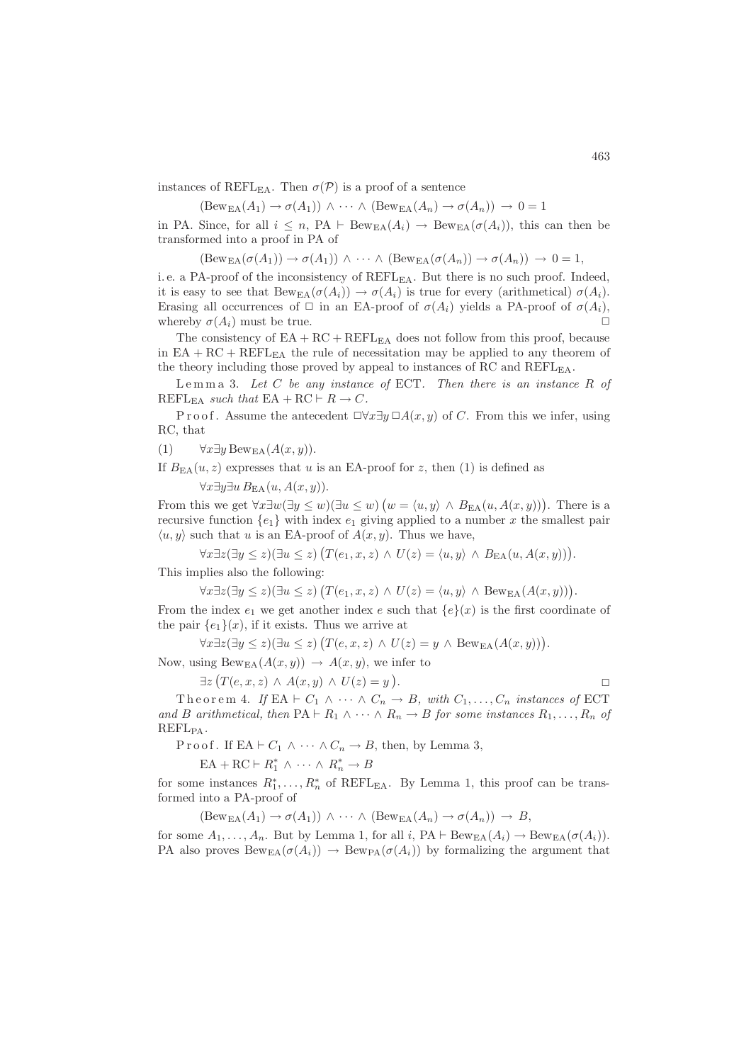instances of REFL<sub>EA</sub>. Then  $\sigma(\mathcal{P})$  is a proof of a sentence

$$
(\text{Bew}_{EA}(A_1) \to \sigma(A_1)) \land \cdots \land (\text{Bew}_{EA}(A_n) \to \sigma(A_n)) \to 0 = 1
$$

in PA. Since, for all  $i \leq n$ , PA  $\vdash \text{Bew}_{EA}(A_i) \rightarrow \text{Bew}_{EA}(\sigma(A_i))$ , this can then be transformed into a proof in PA of

 $(\text{Bew}_{EA}(\sigma(A_1)) \to \sigma(A_1)) \wedge \cdots \wedge (\text{Bew}_{EA}(\sigma(A_n)) \to \sigma(A_n)) \to 0 = 1,$ 

i.e. a PA-proof of the inconsistency of REFL<sub>EA</sub>. But there is no such proof. Indeed, it is easy to see that  $Bew_{EA}(\sigma(A_i)) \to \sigma(A_i)$  is true for every (arithmetical)  $\sigma(A_i)$ . Erasing all occurrences of  $\Box$  in an EA-proof of  $\sigma(A_i)$  yields a PA-proof of  $\sigma(A_i)$ , whereby  $\sigma(A_i)$  must be true.

The consistency of  $EA + RC + REFL<sub>EA</sub>$  does not follow from this proof, because in  $EA + RC + REFL<sub>EA</sub>$  the rule of necessitation may be applied to any theorem of the theory including those proved by appeal to instances of RC and REFLEA.

L e m m a 3. *Let* C *be any instance of* ECT*. Then there is an instance* R *of*  $REFL_{EA} such that  $EA + RC \vdash R \rightarrow C$ .$ 

P r o o f. Assume the antecedent  $\Box \forall x \exists y \Box A(x, y)$  of C. From this we infer, using RC, that

(1)  $\forall x \exists y \text{Bew}_{\text{EA}}(A(x, y)).$ 

If  $B_{FA}(u, z)$  expresses that u is an EA-proof for z, then (1) is defined as

 $\forall x \exists y \exists u B_{\text{EA}}(u, A(x, y)).$ 

From this we get  $\forall x \exists w (\exists y \leq w) (\exists u \leq w) (w = \langle u, y \rangle \land B_{EA}(u, A(x, y)))$ . There is a recursive function  $\{e_1\}$  with index  $e_1$  giving applied to a number x the smallest pair  $\langle u, y \rangle$  such that u is an EA-proof of  $A(x, y)$ . Thus we have,

 $\forall x \exists z (\exists y \leq z)(\exists u \leq z) (T(e_1, x, z) \land U(z) = \langle u, y \rangle \land B_{\text{EA}}(u, A(x, y))).$ This implies also the following:

 $\forall x \exists z (\exists y \leq z)(\exists u \leq z) (T(e_1, x, z) \wedge U(z) = \langle u, y \rangle \wedge \text{Bew}_{EA}(A(x, y))).$ 

From the index  $e_1$  we get another index e such that  $\{e\}(x)$  is the first coordinate of the pair  ${e_1}(x)$ , if it exists. Thus we arrive at

 $\forall x \exists z (\exists y \leq z)(\exists u \leq z) (T(e, x, z) \land U(z) = y \land \text{Bew}_{EA}(A(x, y))).$ 

Now, using  $Bew_{EA}(A(x, y)) \rightarrow A(x, y)$ , we infer to

 $\exists z \left( T(e, x, z) \wedge A(x, y) \wedge U(z) = y \right)$ .  $\Box$ 

Theorem 4. *If* EA  $\vdash C_1 \land \cdots \land C_n \to B$ , with  $C_1, \ldots, C_n$  instances of ECT *and* B arithmetical, then  $PA \vdash R_1 \land \cdots \land R_n \rightarrow B$  for some instances  $R_1, \ldots, R_n$  of REFLPA*.*

P r o o f . If EA  $\vdash C_1 \wedge \cdots \wedge C_n \to B$ , then, by Lemma 3,

 $EA + RC \vdash R_1^* \wedge \cdots \wedge R_n^* \rightarrow B$ 

for some instances  $R_1^*, \ldots, R_n^*$  of REFL<sub>EA</sub>. By Lemma 1, this proof can be transformed into a PA-proof of

 $(Bew_{EA}(A_1) \rightarrow \sigma(A_1)) \wedge \cdots \wedge (Bew_{EA}(A_n) \rightarrow \sigma(A_n)) \rightarrow B,$ 

for some  $A_1, \ldots, A_n$ . But by Lemma 1, for all i, PA ⊢ Bew<sub>EA</sub>( $A_i$ ) → Bew<sub>EA</sub>( $\sigma(A_i)$ ). PA also proves  $Bew_{FA}(\sigma(A_i)) \to Bew_{PA}(\sigma(A_i))$  by formalizing the argument that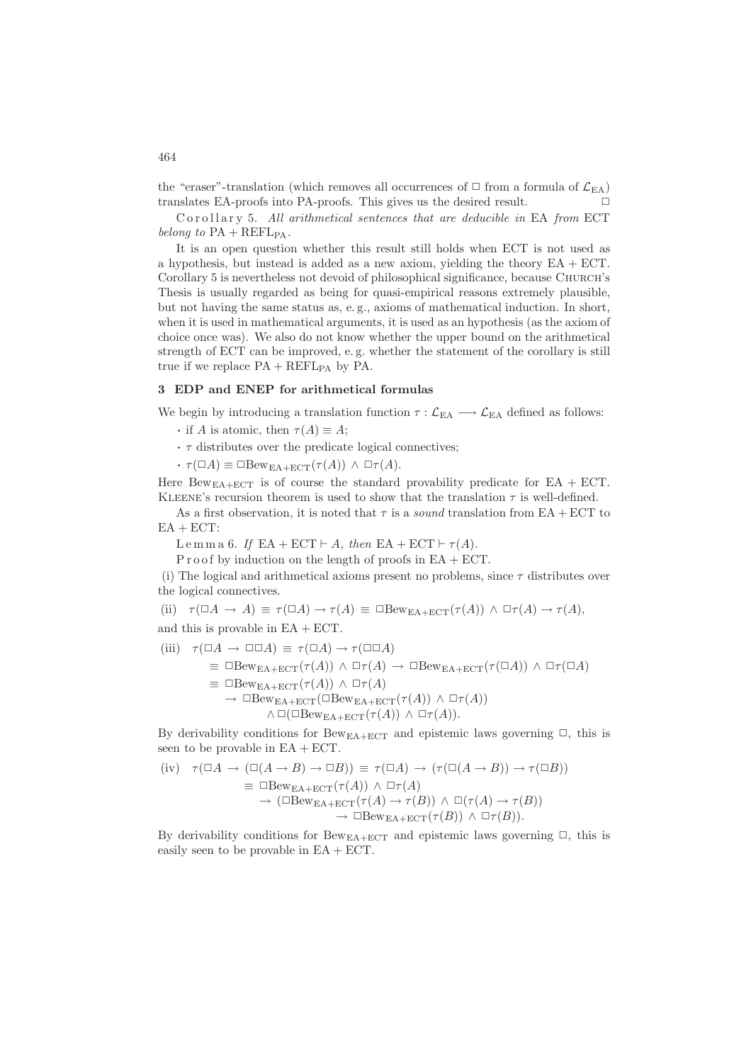the "eraser"-translation (which removes all occurrences of  $\Box$  from a formula of  $\mathcal{L}_{EA}$ ) translates EA-proofs into PA-proofs. This gives us the desired result.  $\Box$ 

Corollary 5. All arithmetical sentences that are deducible in EA from ECT *belong to*  $PA + REFL_{PA}$ .

It is an open question whether this result still holds when ECT is not used as a hypothesis, but instead is added as a new axiom, yielding the theory  $EA + ECT$ . Corollary 5 is nevertheless not devoid of philosophical significance, because CHURCH's Thesis is usually regarded as being for quasi-empirical reasons extremely plausible, but not having the same status as, e. g., axioms of mathematical induction. In short, when it is used in mathematical arguments, it is used as an hypothesis (as the axiom of choice once was). We also do not know whether the upper bound on the arithmetical strength of ECT can be improved, e. g. whether the statement of the corollary is still true if we replace  $PA + REFL_{PA}$  by  $PA$ .

#### 3 EDP and ENEP for arithmetical formulas

We begin by introducing a translation function  $\tau : \mathcal{L}_{EA} \longrightarrow \mathcal{L}_{EA}$  defined as follows:

- if A is atomic, then  $\tau(A) \equiv A$ ;
- $\cdot \tau$  distributes over the predicate logical connectives;
- $\cdot \tau(\Box A) \equiv \Box \text{Bew}_{\text{EA}+\text{ECT}}(\tau(A)) \wedge \Box \tau(A).$

Here Bew<sub>EA+ECT</sub> is of course the standard provability predicate for EA + ECT. KLEENE's recursion theorem is used to show that the translation  $\tau$  is well-defined.

As a first observation, it is noted that  $\tau$  is a *sound* translation from EA + ECT to  $EA + ECT$ :

L e m m a 6. If EA + ECT  $\vdash A$ , then EA + ECT  $\vdash \tau(A)$ .

 $P$  r o of by induction on the length of proofs in  $EA + ECT$ .

(i) The logical and arithmetical axioms present no problems, since  $\tau$  distributes over the logical connectives.

(ii)  $\tau(\Box A \to A) \equiv \tau(\Box A) \to \tau(A) \equiv \Box \text{Bew}_{\text{EA}+\text{ECT}}(\tau(A)) \wedge \Box \tau(A) \to \tau(A),$ 

and this is provable in  $EA + ECT$ .

(iii) 
$$
\tau(\Box A \to \Box \Box A) \equiv \tau(\Box A) \to \tau(\Box \Box A)
$$

 $\equiv \Box \text{Bew}_{EA+ECT}(\tau(A)) \land \Box \tau(A) \rightarrow \Box \text{Bew}_{EA+ ECT}(\tau(\Box A)) \land \Box \tau(\Box A)$ 

 $\equiv \Box \text{Bew}_{\text{EA+ECT}}(\tau(A)) \wedge \Box \tau(A)$ 

 $\rightarrow \Box \text{Bew}_{\text{EA}+\text{ECT}}(\Box \text{Bew}_{\text{EA}+\text{ECT}}(\tau(A)) \land \Box \tau(A))$ 

 $\wedge \Box(\Box \text{Bew}_{\text{EA}+\text{ECT}}(\tau(A)) \wedge \Box \tau(A)).$ 

By derivability conditions for  $Bew_{EA+ECT}$  and epistemic laws governing  $\Box$ , this is seen to be provable in  $EA + ECT$ .

$$
\begin{array}{ll}\n\text{(iv)} & \tau(\Box A \to (\Box(A \to B) \to \Box B)) \equiv \tau(\Box A) \to (\tau(\Box(A \to B)) \to \tau(\Box B)) \\
& \equiv \Box \text{Bew}_{\text{EA}+\text{ECT}}(\tau(A)) \land \Box \tau(A) \\
& \to (\Box \text{Bew}_{\text{EA}+\text{ECT}}(\tau(A) \to \tau(B)) \land \Box(\tau(A) \to \tau(B)) \\
& \to \Box \text{Bew}_{\text{EA}+\text{ECT}}(\tau(B)) \land \Box \tau(B)).\n\end{array}
$$

By derivability conditions for Bew<sub>EA+ECT</sub> and epistemic laws governing  $\Box$ , this is easily seen to be provable in EA + ECT.

464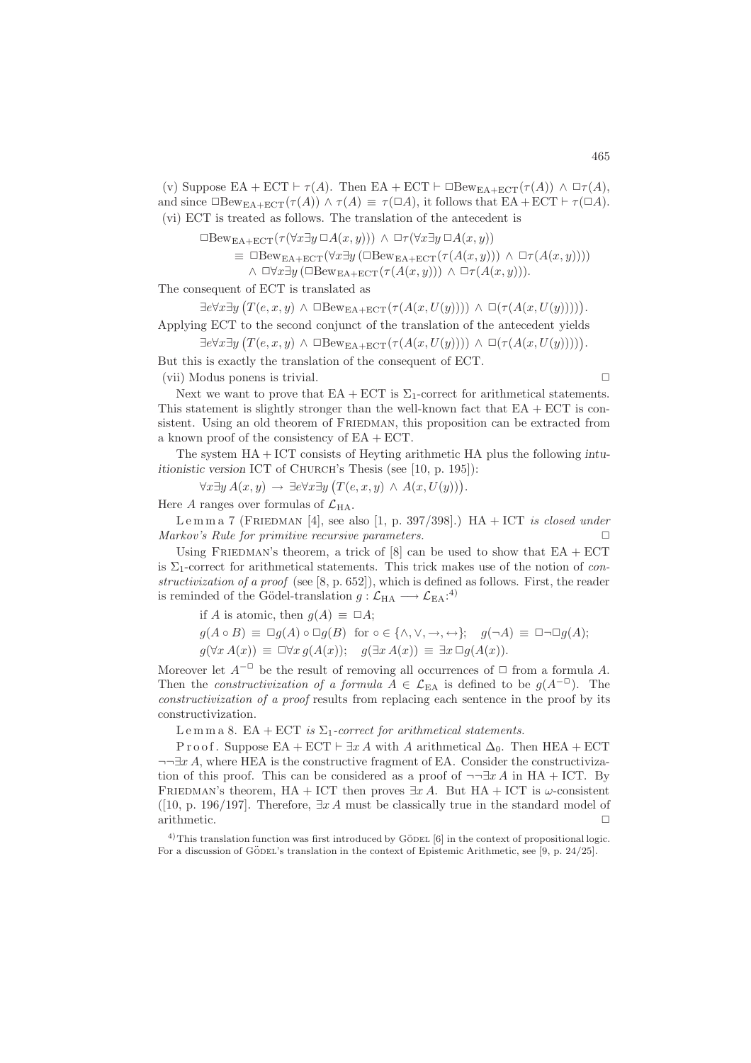(v) Suppose EA + ECT  $\vdash \tau(A)$ . Then EA + ECT  $\vdash \Box$ Bew<sub>EA+ECT</sub>( $\tau(A)$ )  $\land \Box \tau(A)$ , and since  $\Box$ Bew<sub>EA+ECT</sub>( $\tau(A)$ )  $\land \tau(A) \equiv \tau(\Box A)$ , it follows that EA + ECT  $\vdash \tau(\Box A)$ . (vi) ECT is treated as follows. The translation of the antecedent is

 $\Box$ Bew<sub>EA+ECT</sub>( $\tau(\forall x \exists y \Box A(x, y))) \land \Box \tau(\forall x \exists y \Box A(x, y))$ 

$$
\equiv \Box \text{Bew}_{\text{EA}+\text{ECT}}(\forall x \exists y (\Box \text{Bew}_{\text{EA}+\text{ECT}}(\tau(A(x,y))) \land \Box \tau(A(x,y))))
$$
  
 
$$
\land \Box \forall x \exists y (\Box \text{Bew}_{\text{EA}+\text{ECT}}(\tau(A(x,y))) \land \Box \tau(A(x,y))).
$$

The consequent of ECT is translated as

 $\exists e \forall x \exists y \big( T(e, x, y) \land \Box \text{Bew}_{EA + ECT}(\tau(A(x, U(y)))) \land \Box(\tau(A(x, U(y))))\big).$ 

Applying ECT to the second conjunct of the translation of the antecedent yields

 $\exists e \forall x \exists y \left( T(e, x, y) \land \Box \text{Bew}_{EA + ECT}(\tau(A(x, U(y)))) \land \Box(\tau(A(x, U(y))))\right).$ 

But this is exactly the translation of the consequent of ECT.  $(vii)$  Modus ponens is trivial.  $\Box$ 

Next we want to prove that  $EA + ECT$  is  $\Sigma_1$ -correct for arithmetical statements. This statement is slightly stronger than the well-known fact that  $EA + ECT$  is consistent. Using an old theorem of FRIEDMAN, this proposition can be extracted from a known proof of the consistency of  $EA + ECT$ .

The system HA + ICT consists of Heyting arithmetic HA plus the following intuitionistic version ICT of CHURCH's Thesis (see [10, p. 195]):

 $\forall x \exists y A(x, y) \rightarrow \exists e \forall x \exists y (T(e, x, y) \land A(x, U(y))).$ 

Here A ranges over formulas of  $\mathcal{L}_{HA}$ .

Lemma 7 (FRIEDMAN [4], see also [1, p. 397/398].)  $HA + ICT$  *is closed under Markov's Rule for primitive recursive parameters.* 

Using FRIEDMAN's theorem, a trick of  $[8]$  can be used to show that  $EA + ECT$ is  $\Sigma_1$ -correct for arithmetical statements. This trick makes use of the notion of *constructivization of a proof* (see [8, p. 652]), which is defined as follows. First, the reader is reminded of the Gödel-translation  $g: \mathcal{L}_{HA} \longrightarrow \mathcal{L}_{EA}$ :<sup>4)</sup>

if A is atomic, then  $q(A) \equiv \Box A$ ;

$$
g(A \circ B) \equiv \Box g(A) \circ \Box g(B) \text{ for } \circ \in \{\land, \lor, \to, \leftrightarrow\}; \quad g(\neg A) \equiv \Box \neg \Box g(A);
$$
  

$$
g(\forall x \ A(x)) \equiv \Box \forall x \ g(A(x)); \quad g(\exists x \ A(x)) \equiv \exists x \ \Box g(A(x)).
$$

Moreover let  $A^{-\Box}$  be the result of removing all occurrences of  $\Box$  from a formula A. Then the *constructivization of a formula*  $A \in \mathcal{L}_{EA}$  is defined to be  $g(A^{-\Box})$ . The *constructivization of a proof* results from replacing each sentence in the proof by its constructivization.

L e m m a 8. EA + ECT *is*  $\Sigma_1$ -correct for arithmetical statements.

P r o o f. Suppose EA + ECT  $\vdash \exists x A$  with A arithmetical  $\Delta_0$ . Then HEA + ECT  $\neg\neg\exists x A$ , where HEA is the constructive fragment of EA. Consider the constructivization of this proof. This can be considered as a proof of  $\neg\neg\exists x A$  in HA + ICT. By FRIEDMAN's theorem, HA + ICT then proves  $\exists x A$ . But HA + ICT is  $\omega$ -consistent ([10, p. 196/197]. Therefore,  $\exists x \, A$  must be classically true in the standard model of arithmetic.

 $4)$ This translation function was first introduced by GÖDEL [6] in the context of propositional logic. For a discussion of GÖDEL's translation in the context of Epistemic Arithmetic, see [9, p. 24/25].